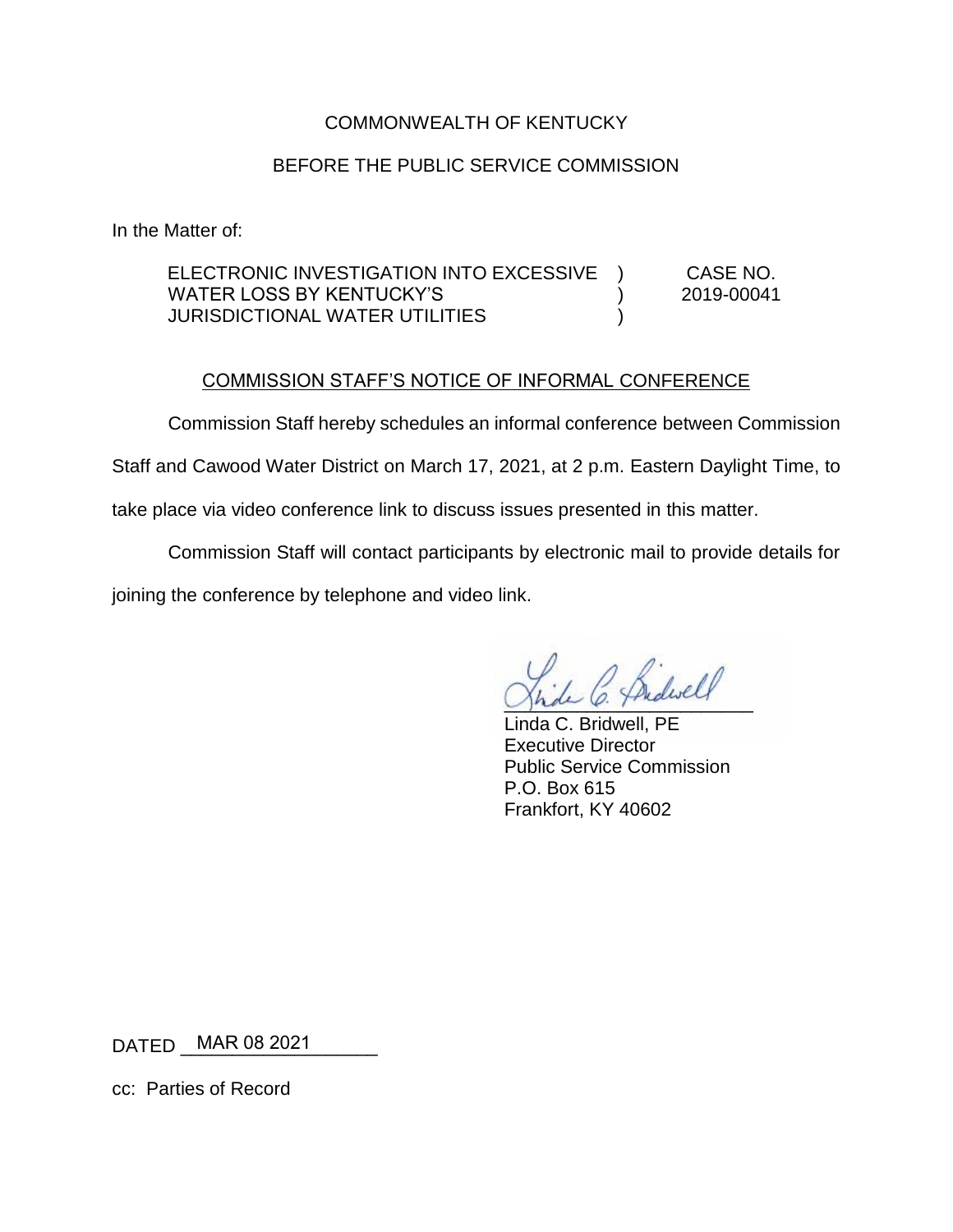## COMMONWEALTH OF KENTUCKY

## BEFORE THE PUBLIC SERVICE COMMISSION

In the Matter of:

ELECTRONIC INVESTIGATION INTO EXCESSIVE WATER LOSS BY KENTUCKY'S JURISDICTIONAL WATER UTILITIES ) ) ) CASE NO. 2019-00041

## COMMISSION STAFF'S NOTICE OF INFORMAL CONFERENCE

Commission Staff hereby schedules an informal conference between Commission

Staff and Cawood Water District on March 17, 2021, at 2 p.m. Eastern Daylight Time, to

take place via video conference link to discuss issues presented in this matter.

Commission Staff will contact participants by electronic mail to provide details for joining the conference by telephone and video link.

Shall C. Thawas

Linda C. Bridwell, PE Executive Director Public Service Commission P.O. Box 615 Frankfort, KY 40602

DATED \_\_\_\_\_\_\_\_\_\_\_\_\_\_\_\_\_\_\_ MAR 08 2021

cc: Parties of Record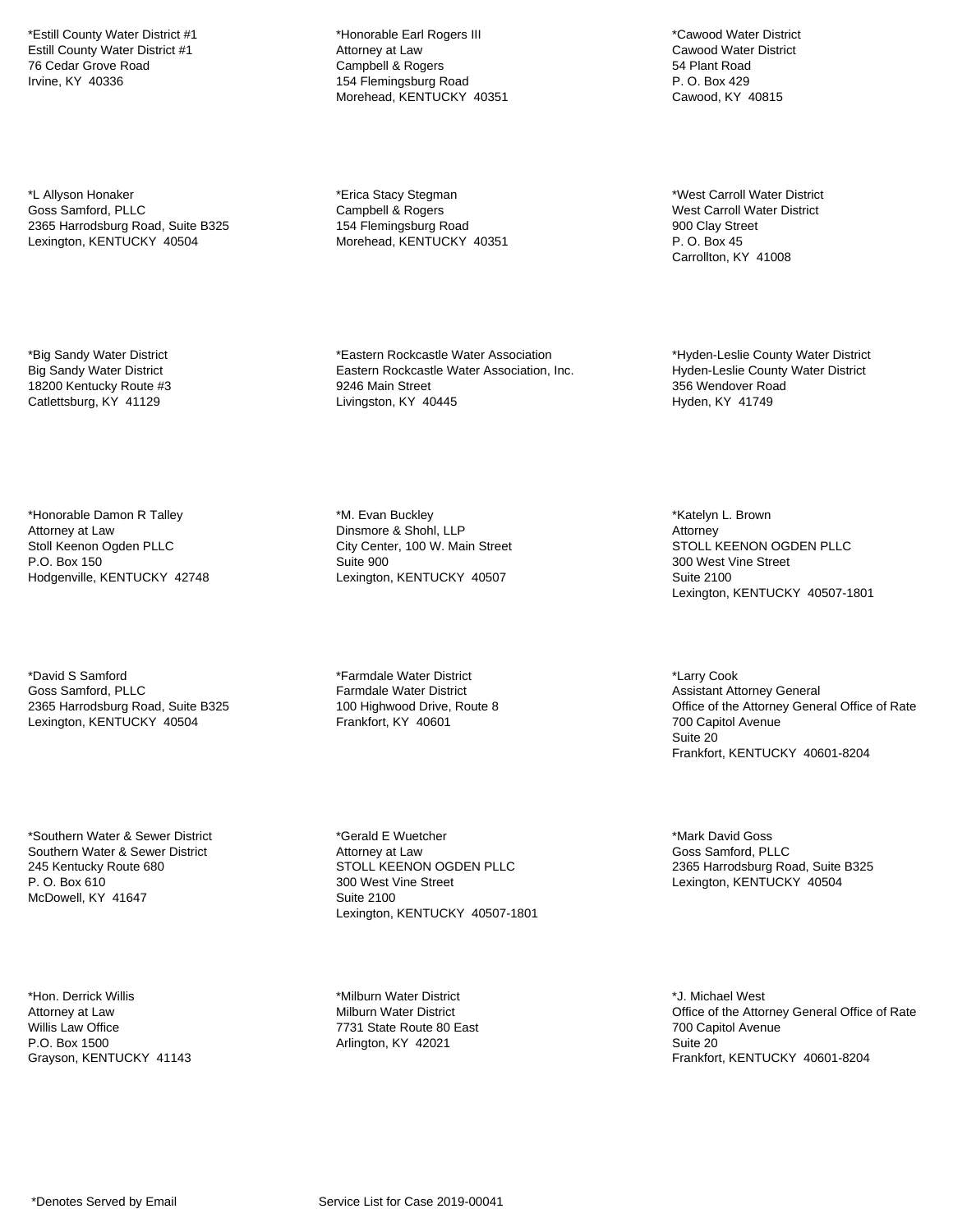\*Estill County Water District #1 Estill County Water District #1 76 Cedar Grove Road Irvine, KY 40336

\*L Allyson Honaker Goss Samford, PLLC 2365 Harrodsburg Road, Suite B325 Lexington, KENTUCKY 40504

\*Big Sandy Water District Big Sandy Water District 18200 Kentucky Route #3 Catlettsburg, KY 41129

\*Honorable Damon R Talley Attorney at Law Stoll Keenon Ogden PLLC P.O. Box 150 Hodgenville, KENTUCKY 42748

\*David S Samford Goss Samford, PLLC 2365 Harrodsburg Road, Suite B325 Lexington, KENTUCKY 40504

\*Southern Water & Sewer District Southern Water & Sewer District 245 Kentucky Route 680 P. O. Box 610 McDowell, KY 41647

\*Hon. Derrick Willis Attorney at Law Willis Law Office P.O. Box 1500 Grayson, KENTUCKY 41143

\*Honorable Earl Rogers III Attorney at Law Campbell & Rogers 154 Flemingsburg Road Morehead, KENTUCKY 40351

\*Erica Stacy Stegman Campbell & Rogers 154 Flemingsburg Road Morehead, KENTUCKY 40351

\*Eastern Rockcastle Water Association Eastern Rockcastle Water Association, Inc. 9246 Main Street Livingston, KY 40445

\*M. Evan Buckley Dinsmore & Shohl, LLP City Center, 100 W. Main Street Suite 900 Lexington, KENTUCKY 40507

\*Farmdale Water District Farmdale Water District 100 Highwood Drive, Route 8 Frankfort, KY 40601

\*Gerald E Wuetcher Attorney at Law STOLL KEENON OGDEN PLLC 300 West Vine Street Suite 2100 Lexington, KENTUCKY 40507-1801

\*Milburn Water District Milburn Water District 7731 State Route 80 East Arlington, KY 42021

\*Cawood Water District Cawood Water District 54 Plant Road P. O. Box 429 Cawood, KY 40815

\*West Carroll Water District West Carroll Water District 900 Clay Street P. O. Box 45 Carrollton, KY 41008

\*Hyden-Leslie County Water District Hyden-Leslie County Water District 356 Wendover Road Hyden, KY 41749

\*Katelyn L. Brown **Attorney** STOLL KEENON OGDEN PLLC 300 West Vine Street Suite 2100 Lexington, KENTUCKY 40507-1801

\*Larry Cook Assistant Attorney General Office of the Attorney General Office of Rate 700 Capitol Avenue Suite 20 Frankfort, KENTUCKY 40601-8204

\*Mark David Goss Goss Samford, PLLC 2365 Harrodsburg Road, Suite B325 Lexington, KENTUCKY 40504

\*J. Michael West Office of the Attorney General Office of Rate 700 Capitol Avenue Suite 20 Frankfort, KENTUCKY 40601-8204